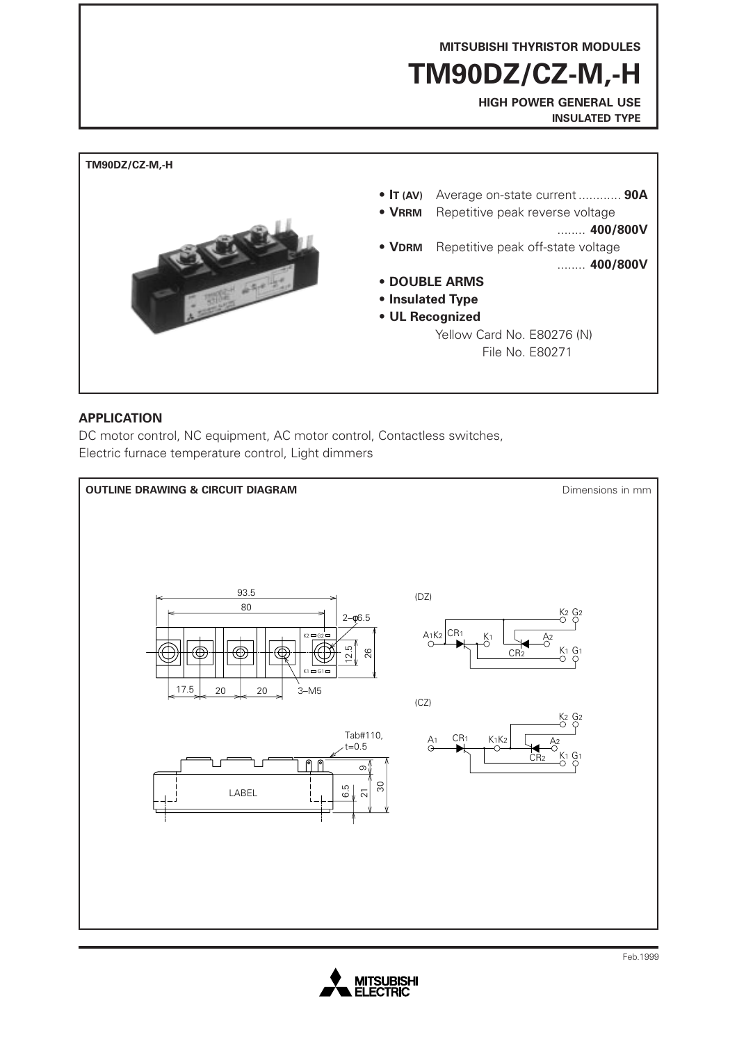**MITSUBISHI THYRISTOR MODULES**

**TM90DZ/CZ-M,-H**

**HIGH POWER GENERAL USE INSULATED TYPE**



### **APPLICATION**

DC motor control, NC equipment, AC motor control, Contactless switches, Electric furnace temperature control, Light dimmers



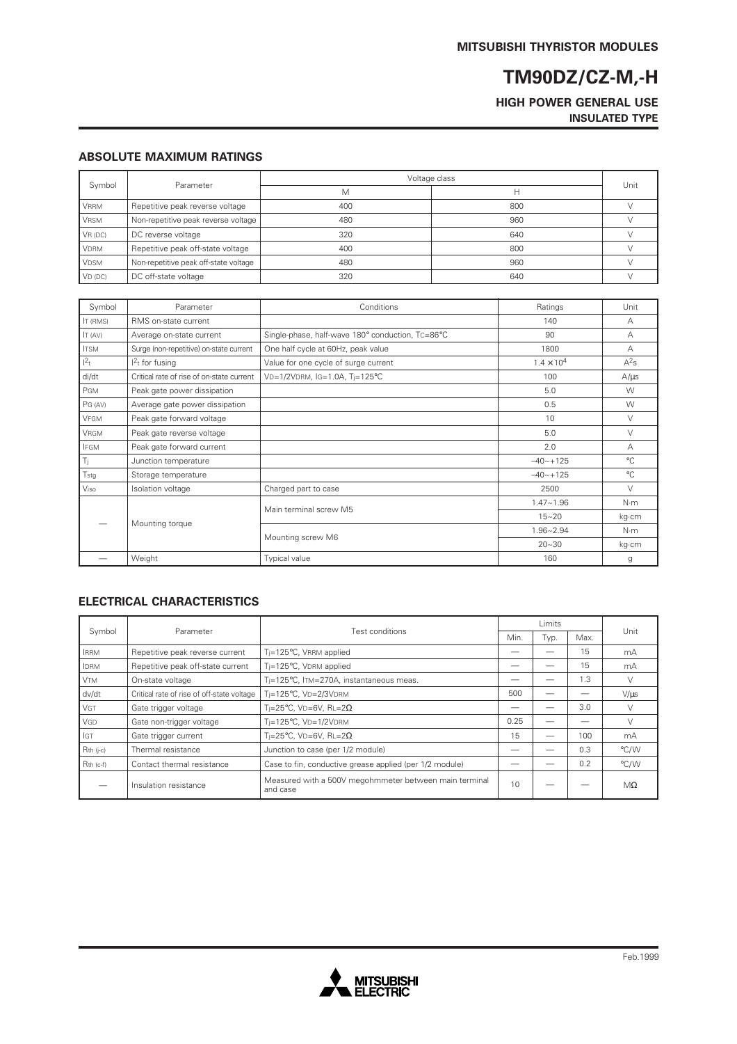### **HIGH POWER GENERAL USE INSULATED TYPE**

#### **ABSOLUTE MAXIMUM RATINGS**

| Symbol      | Parameter                             | Voltage class |     |      |
|-------------|---------------------------------------|---------------|-----|------|
|             |                                       | M             |     | Unit |
| <b>VRRM</b> | Repetitive peak reverse voltage       | 400           | 800 |      |
| <b>VRSM</b> | Non-repetitive peak reverse voltage   | 480           | 960 |      |
| VR(DC)      | DC reverse voltage                    | 320           | 640 |      |
| <b>VDRM</b> | Repetitive peak off-state voltage     | 400           | 800 |      |
| <b>VDSM</b> | Non-repetitive peak off-state voltage | 480           | 960 |      |
| $VD$ (DC)   | DC off-state voltage                  | 320           | 640 |      |

| Symbol          | Parameter                                 | Conditions                                       | Ratings             | Unit         |
|-----------------|-------------------------------------------|--------------------------------------------------|---------------------|--------------|
| <b>IT (RMS)</b> | RMS on-state current                      | 140                                              |                     | А            |
| IT (AV)         | Average on-state current                  | Single-phase, half-wave 180° conduction, TC=86°C | 90                  | А            |
| <b>ITSM</b>     | Surge (non-repetitive) on-state current   | One half cycle at 60Hz, peak value               | 1800                | А            |
| $1^2$ t         | $12t$ for fusing                          | Value for one cycle of surge current             | $1.4 \times 10^{4}$ | $A^2s$       |
| di/dt           | Critical rate of rise of on-state current | VD=1/2VDRM, IG=1.0A, Ti=125°C                    | 100                 | $A/\mu s$    |
| PGM             | Peak gate power dissipation               |                                                  | 5.0                 | W            |
| PG (AV)         | Average gate power dissipation            |                                                  | 0.5                 | W            |
| VFGM            | Peak gate forward voltage                 |                                                  | 10                  | V            |
| <b>VRGM</b>     | Peak gate reverse voltage                 |                                                  | 5.0                 | $\vee$       |
| <b>IFGM</b>     | Peak gate forward current                 |                                                  | 2.0                 | А            |
| Ti.             | Junction temperature                      |                                                  | $-40 - +125$        | $^{\circ}$ C |
| Tstg            | Storage temperature                       |                                                  | $-40 - +125$        | $^{\circ}$ C |
| Viso            | Isolation voltage                         | Charged part to case                             | 2500                | $\vee$       |
|                 | Mounting torque                           | Main terminal screw M5                           | $1.47 - 1.96$       | $N \cdot m$  |
|                 |                                           |                                                  | $15 - 20$           | kg∙cm        |
|                 |                                           | Mounting screw M6                                | $1.96 - 2.94$       | N·m          |
|                 |                                           |                                                  | $20 - 30$           | kg·cm        |
|                 | Weight                                    | Typical value                                    | 160                 | g            |

#### **ELECTRICAL CHARACTERISTICS**

| Symbol      | Parameter                                  |                                                                    | Limits |      |      |           |
|-------------|--------------------------------------------|--------------------------------------------------------------------|--------|------|------|-----------|
|             |                                            | Test conditions                                                    |        | Typ. | Max. | Unit      |
| <b>IRRM</b> | Repetitive peak reverse current            | T <sub>i</sub> =125°C, VRRM applied                                |        |      | 15   | mA        |
| <b>IDRM</b> | Repetitive peak off-state current          | T <sub>i</sub> =125°C, VDRM applied                                |        |      | 15   | mA        |
| <b>VTM</b>  | On-state voltage                           | Ti=125°C, ITM=270A, instantaneous meas.                            |        |      | 1.3  |           |
| dv/dt       | Critical rate of rise of off-state voltage | Ti=125°C, VD=2/3VDRM                                               | 500    |      |      | $V/\mu s$ |
| <b>VGT</b>  | Gate trigger voltage                       | Ti=25°C, VD=6V, RL=2 $\Omega$                                      |        |      | 3.0  |           |
| VGD         | Gate non-trigger voltage                   | $T_i = 125$ °C, VD= $1/2$ VDRM                                     | 0.25   |      |      |           |
| GT          | Gate trigger current                       | Ti=25°C. VD=6V. RL=2 $\Omega$                                      | 15     |      | 100  | mA        |
| $Rth$ (j-c) | Thermal resistance                         | Junction to case (per 1/2 module)                                  |        |      | 0.3  | °C/W      |
| Rth (c-f)   | Contact thermal resistance                 | Case to fin, conductive grease applied (per 1/2 module)            |        |      | 0.2  | °C/W      |
|             | Insulation resistance                      | Measured with a 500V megohmmeter between main terminal<br>and case | 10     |      |      | $M\Omega$ |

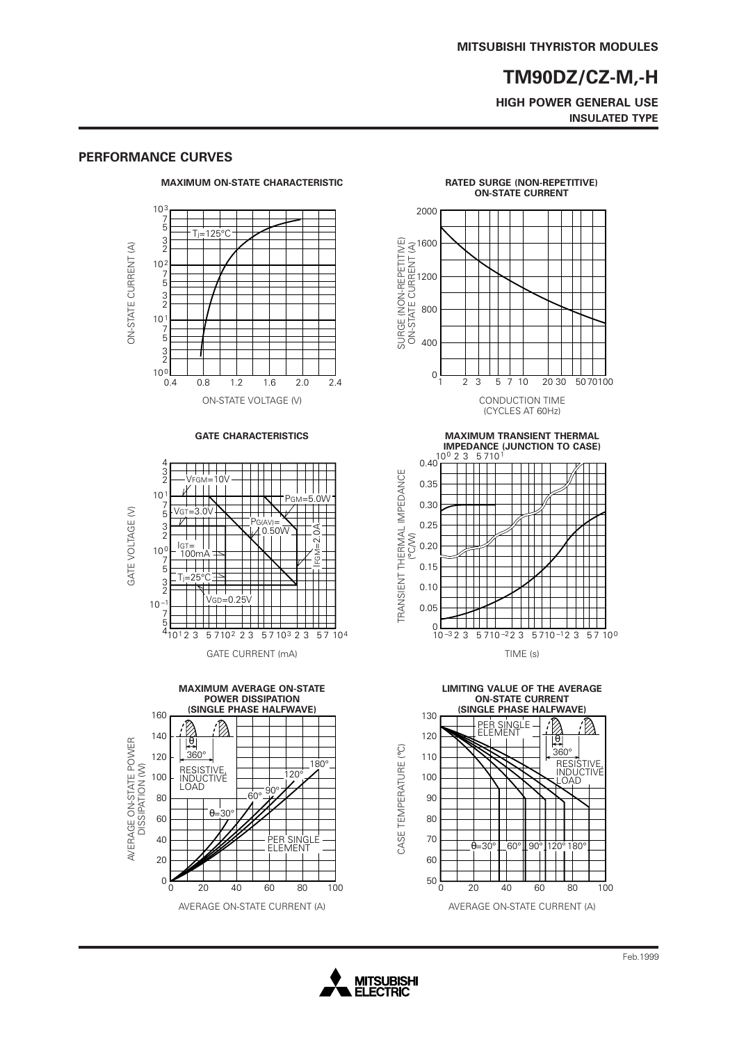**HIGH POWER GENERAL USE INSULATED TYPE**

### $10<sup>3</sup>$ 7 5  $T_i = 125$ °C 3 2 ON-STATE CURRENT (A) ON-STATE CURRENT (A) 10 2 7 5 3 2  $10<sup>1</sup>$ 7 5 3 2

 $10^{0}$ 

**PERFORMANCE CURVES**

0.4

### **MAXIMUM ON-STATE CHARACTERISTIC**



0.8 1.2 1.6 2.0 2.4



**MAXIMUM AVERAGE ON-STATE POWER DISSIPATION (SINGLE PHASE HALFWAVE)** 160 B 140 AVERAGE ON-STATE POWER<br>DISSIPATION (W) AVERAGE ON-STATE POWER θ 360° 120  $\overline{180}$ DISSIPATION (W) RESISTIVE, INDUCTIVE LOAD 120° 100 90° 80 60°  $\overline{\phantom{a}}$  $\theta = 30$ 60 40 .<br>PER SINGLE .<br>ELEMENT 20  $0\frac{L}{0}$ 20 40 60 0 20 40 60 80 100

#### **RATED SURGE (NON-REPETITIVE) ON-STATE CURRENT**











CASE TEMPERATURE (°C)

CASE TEMPERATURE (°C)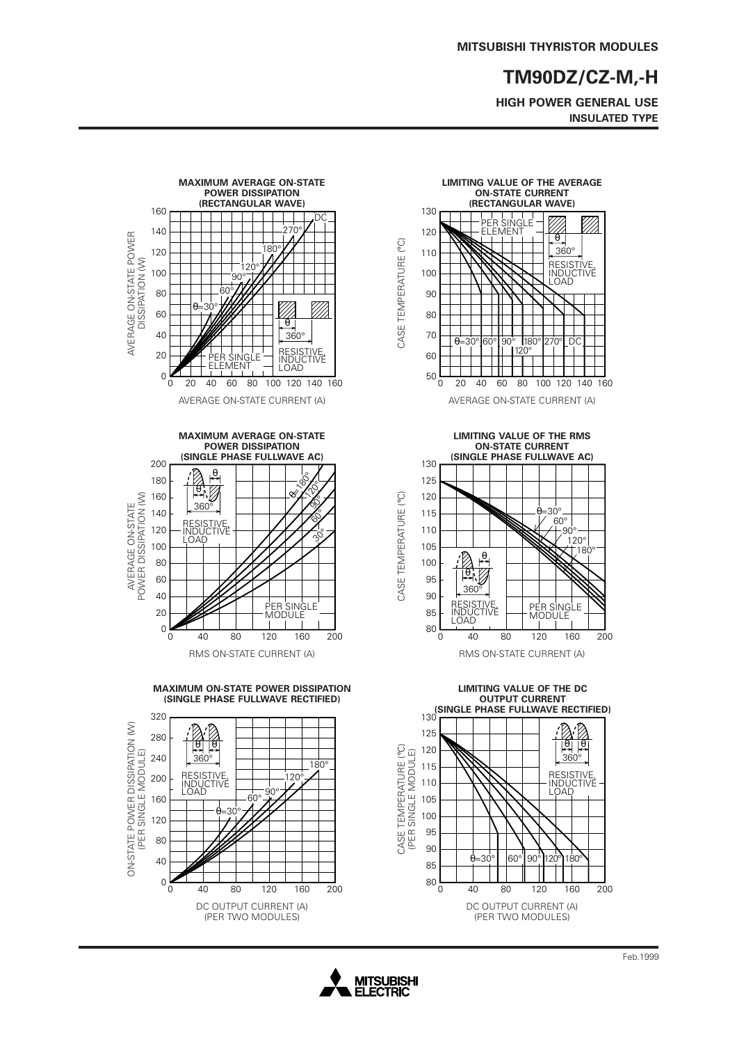**HIGH POWER GENERAL USE INSULATED TYPE**





**LIMITING VALUE OF THE RMS ON-STATE CURRENT (SINGLE PHASE FULLWAVE AC)**